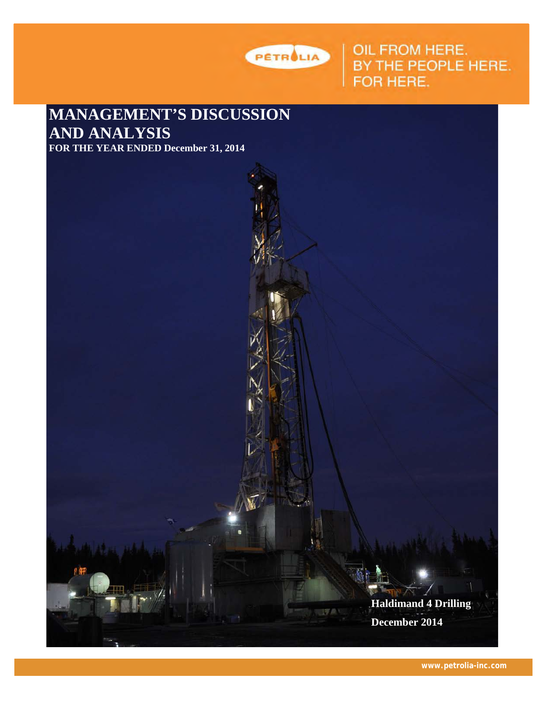

OIL FROM HERE.<br>BY THE PEOPLE HERE.<br>FOR HERE.

**MANAGEMENT'S DISCUSSION AND ANALYSIS**



**www.petrolia-inc.com**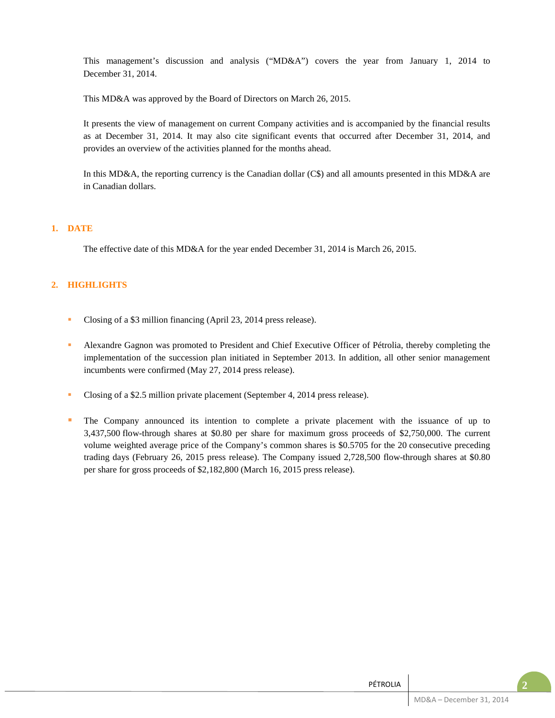This management's discussion and analysis ("MD&A") covers the year from January 1, 2014 to December 31, 2014.

This MD&A was approved by the Board of Directors on March 26, 2015.

It presents the view of management on current Company activities and is accompanied by the financial results as at December 31, 2014. It may also cite significant events that occurred after December 31, 2014, and provides an overview of the activities planned for the months ahead.

In this MD&A, the reporting currency is the Canadian dollar (C\$) and all amounts presented in this MD&A are in Canadian dollars.

### **1. DATE**

The effective date of this MD&A for the year ended December 31, 2014 is March 26, 2015.

## **2. HIGHLIGHTS**

- Closing of a \$3 million financing (April 23, 2014 press release).
- Alexandre Gagnon was promoted to President and Chief Executive Officer of Pétrolia, thereby completing the implementation of the succession plan initiated in September 2013. In addition, all other senior management incumbents were confirmed (May 27, 2014 press release).
- Closing of a \$2.5 million private placement (September 4, 2014 press release).
- The Company announced its intention to complete a private placement with the issuance of up to 3,437,500 flow-through shares at \$0.80 per share for maximum gross proceeds of \$2,750,000. The current volume weighted average price of the Company's common shares is \$0.5705 for the 20 consecutive preceding trading days (February 26, 2015 press release). The Company issued 2,728,500 flow-through shares at \$0.80 per share for gross proceeds of \$2,182,800 (March 16, 2015 press release).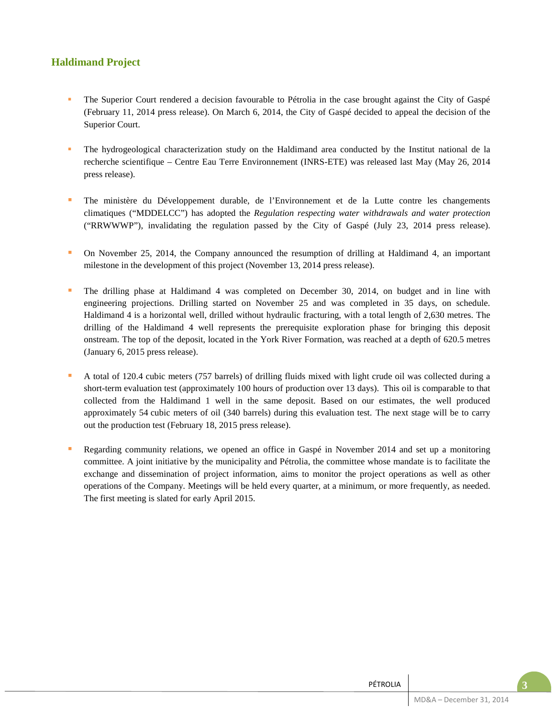# **Haldimand Project**

- The Superior Court rendered a decision favourable to Pétrolia in the case brought against the City of Gaspé (February 11, 2014 press release). On March 6, 2014, the City of Gaspé decided to appeal the decision of the Superior Court.
- The hydrogeological characterization study on the Haldimand area conducted by the Institut national de la recherche scientifique – Centre Eau Terre Environnement (INRS-ETE) was released last May (May 26, 2014 press release).
- The ministère du Développement durable, de l'Environnement et de la Lutte contre les changements climatiques ("MDDELCC") has adopted the *Regulation respecting water withdrawals and water protection* ("RRWWWP"), invalidating the regulation passed by the City of Gaspé (July 23, 2014 press release).
- On November 25, 2014, the Company announced the resumption of drilling at Haldimand 4, an important milestone in the development of this project (November 13, 2014 press release).
- The drilling phase at Haldimand 4 was completed on December 30, 2014, on budget and in line with engineering projections. Drilling started on November 25 and was completed in 35 days, on schedule. Haldimand 4 is a horizontal well, drilled without hydraulic fracturing, with a total length of 2,630 metres. The drilling of the Haldimand 4 well represents the prerequisite exploration phase for bringing this deposit onstream. The top of the deposit, located in the York River Formation, was reached at a depth of 620.5 metres (January 6, 2015 press release).
- A total of 120.4 cubic meters (757 barrels) of drilling fluids mixed with light crude oil was collected during a short-term evaluation test (approximately 100 hours of production over 13 days). This oil is comparable to that collected from the Haldimand 1 well in the same deposit. Based on our estimates, the well produced approximately 54 cubic meters of oil (340 barrels) during this evaluation test. The next stage will be to carry out the production test (February 18, 2015 press release).
- Regarding community relations, we opened an office in Gaspé in November 2014 and set up a monitoring committee. A joint initiative by the municipality and Pétrolia, the committee whose mandate is to facilitate the exchange and dissemination of project information, aims to monitor the project operations as well as other operations of the Company. Meetings will be held every quarter, at a minimum, or more frequently, as needed. The first meeting is slated for early April 2015.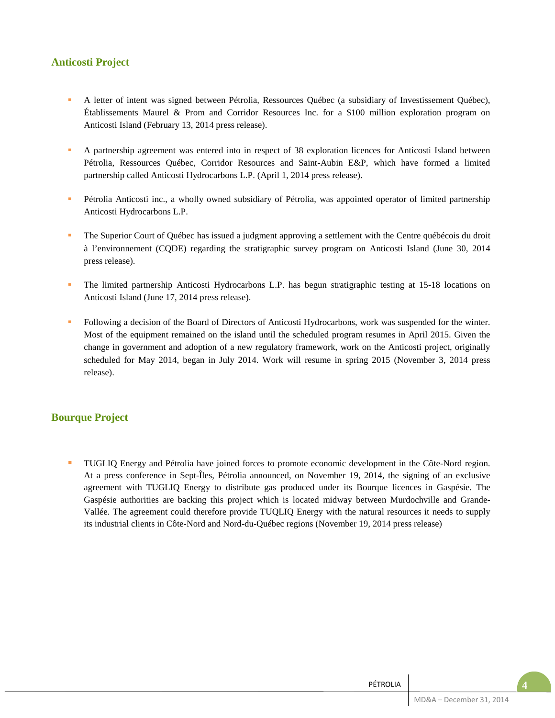## **Anticosti Project**

- A letter of intent was signed between Pétrolia, Ressources Québec (a subsidiary of Investissement Québec), Établissements Maurel & Prom and Corridor Resources Inc. for a \$100 million exploration program on Anticosti Island (February 13, 2014 press release).
- A partnership agreement was entered into in respect of 38 exploration licences for Anticosti Island between Pétrolia, Ressources Québec, Corridor Resources and Saint-Aubin E&P, which have formed a limited partnership called Anticosti Hydrocarbons L.P. (April 1, 2014 press release).
- Pétrolia Anticosti inc., a wholly owned subsidiary of Pétrolia, was appointed operator of limited partnership Anticosti Hydrocarbons L.P.
- The Superior Court of Québec has issued a judgment approving a settlement with the Centre québécois du droit à l'environnement (CQDE) regarding the stratigraphic survey program on Anticosti Island (June 30, 2014 press release).
- The limited partnership Anticosti Hydrocarbons L.P. has begun stratigraphic testing at 15-18 locations on Anticosti Island (June 17, 2014 press release).
- Following a decision of the Board of Directors of Anticosti Hydrocarbons, work was suspended for the winter. Most of the equipment remained on the island until the scheduled program resumes in April 2015. Given the change in government and adoption of a new regulatory framework, work on the Anticosti project, originally scheduled for May 2014, began in July 2014. Work will resume in spring 2015 (November 3, 2014 press release).

## **Bourque Project**

 TUGLIQ Energy and Pétrolia have joined forces to promote economic development in the Côte-Nord region. At a press conference in Sept-Îles, Pétrolia announced, on November 19, 2014, the signing of an exclusive agreement with TUGLIQ Energy to distribute gas produced under its Bourque licences in Gaspésie. The Gaspésie authorities are backing this project which is located midway between Murdochville and Grande-Vallée. The agreement could therefore provide TUQLIQ Energy with the natural resources it needs to supply its industrial clients in Côte-Nord and Nord-du-Québec regions (November 19, 2014 press release)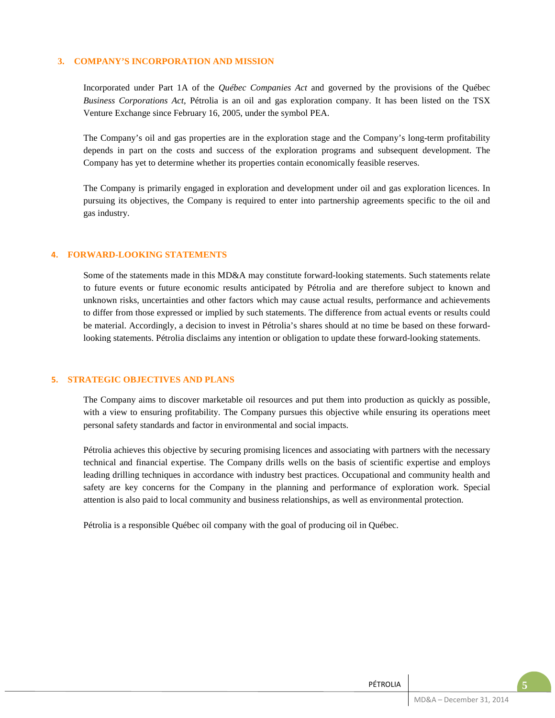### **3. COMPANY'S INCORPORATION AND MISSION**

Incorporated under Part 1A of the *Québec Companies Act* and governed by the provisions of the Québec *Business Corporations Act*, Pétrolia is an oil and gas exploration company. It has been listed on the TSX Venture Exchange since February 16, 2005, under the symbol PEA.

The Company's oil and gas properties are in the exploration stage and the Company's long-term profitability depends in part on the costs and success of the exploration programs and subsequent development. The Company has yet to determine whether its properties contain economically feasible reserves.

The Company is primarily engaged in exploration and development under oil and gas exploration licences. In pursuing its objectives, the Company is required to enter into partnership agreements specific to the oil and gas industry.

## **4. FORWARD-LOOKING STATEMENTS**

Some of the statements made in this MD&A may constitute forward-looking statements. Such statements relate to future events or future economic results anticipated by Pétrolia and are therefore subject to known and unknown risks, uncertainties and other factors which may cause actual results, performance and achievements to differ from those expressed or implied by such statements. The difference from actual events or results could be material. Accordingly, a decision to invest in Pétrolia's shares should at no time be based on these forwardlooking statements. Pétrolia disclaims any intention or obligation to update these forward-looking statements.

#### **5. STRATEGIC OBJECTIVES AND PLANS**

The Company aims to discover marketable oil resources and put them into production as quickly as possible, with a view to ensuring profitability. The Company pursues this objective while ensuring its operations meet personal safety standards and factor in environmental and social impacts.

Pétrolia achieves this objective by securing promising licences and associating with partners with the necessary technical and financial expertise. The Company drills wells on the basis of scientific expertise and employs leading drilling techniques in accordance with industry best practices. Occupational and community health and safety are key concerns for the Company in the planning and performance of exploration work. Special attention is also paid to local community and business relationships, as well as environmental protection.

Pétrolia is a responsible Québec oil company with the goal of producing oil in Québec.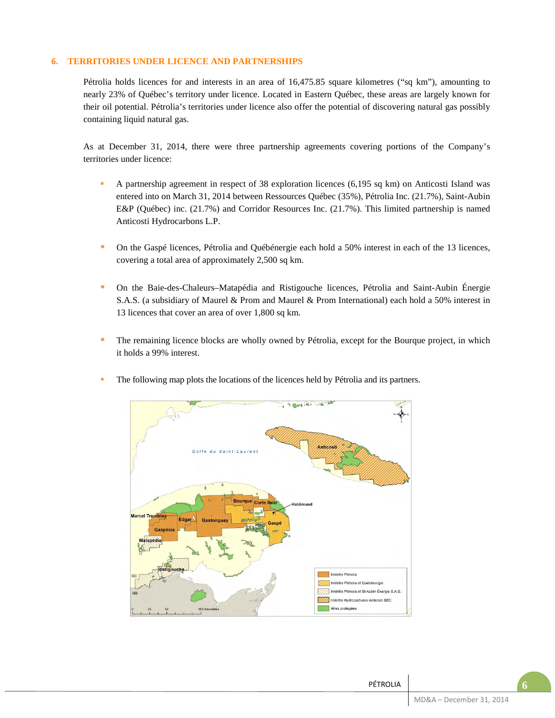## **6. TERRITORIES UNDER LICENCE AND PARTNERSHIPS**

Pétrolia holds licences for and interests in an area of 16,475.85 square kilometres ("sq km"), amounting to nearly 23% of Québec's territory under licence. Located in Eastern Québec, these areas are largely known for their oil potential. Pétrolia's territories under licence also offer the potential of discovering natural gas possibly containing liquid natural gas.

As at December 31, 2014, there were three partnership agreements covering portions of the Company's territories under licence:

- A partnership agreement in respect of 38 exploration licences (6,195 sq km) on Anticosti Island was entered into on March 31, 2014 between Ressources Québec (35%), Pétrolia Inc. (21.7%), Saint-Aubin E&P (Québec) inc. (21.7%) and Corridor Resources Inc. (21.7%). This limited partnership is named Anticosti Hydrocarbons L.P.
- On the Gaspé licences, Pétrolia and Québénergie each hold a 50% interest in each of the 13 licences, covering a total area of approximately 2,500 sq km.
- On the Baie-des-Chaleurs–Matapédia and Ristigouche licences, Pétrolia and Saint-Aubin Énergie S.A.S. (a subsidiary of Maurel & Prom and Maurel & Prom International) each hold a 50% interest in 13 licences that cover an area of over 1,800 sq km.
- The remaining licence blocks are wholly owned by Pétrolia, except for the Bourque project, in which it holds a 99% interest.



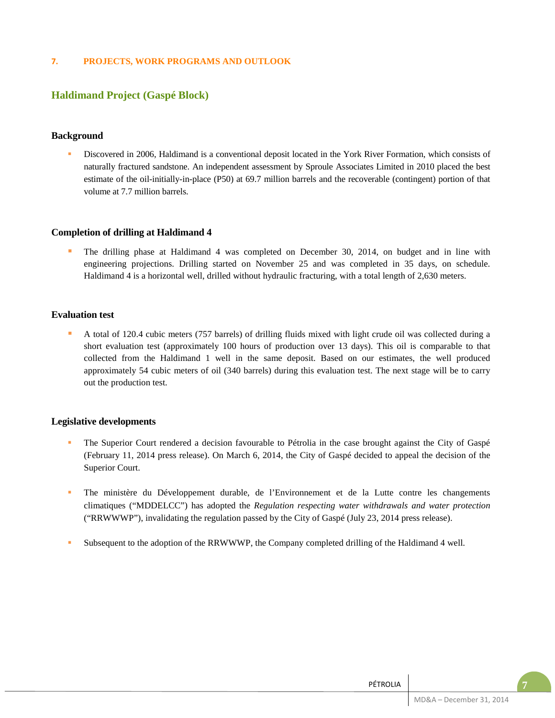## **7. PROJECTS, WORK PROGRAMS AND OUTLOOK**

## **Haldimand Project (Gaspé Block)**

### **Background**

 Discovered in 2006, Haldimand is a conventional deposit located in the York River Formation, which consists of naturally fractured sandstone. An independent assessment by Sproule Associates Limited in 2010 placed the best estimate of the oil-initially-in-place (P50) at 69.7 million barrels and the recoverable (contingent) portion of that volume at 7.7 million barrels.

### **Completion of drilling at Haldimand 4**

 The drilling phase at Haldimand 4 was completed on December 30, 2014, on budget and in line with engineering projections. Drilling started on November 25 and was completed in 35 days, on schedule. Haldimand 4 is a horizontal well, drilled without hydraulic fracturing, with a total length of 2,630 meters.

## **Evaluation test**

 A total of 120.4 cubic meters (757 barrels) of drilling fluids mixed with light crude oil was collected during a short evaluation test (approximately 100 hours of production over 13 days). This oil is comparable to that collected from the Haldimand 1 well in the same deposit. Based on our estimates, the well produced approximately 54 cubic meters of oil (340 barrels) during this evaluation test. The next stage will be to carry out the production test.

#### **Legislative developments**

- The Superior Court rendered a decision favourable to Pétrolia in the case brought against the City of Gaspé (February 11, 2014 press release). On March 6, 2014, the City of Gaspé decided to appeal the decision of the Superior Court.
- The ministère du Développement durable, de l'Environnement et de la Lutte contre les changements climatiques ("MDDELCC") has adopted the *Regulation respecting water withdrawals and water protection* ("RRWWWP"), invalidating the regulation passed by the City of Gaspé (July 23, 2014 press release).
- **Subsequent to the adoption of the RRWWWP, the Company completed drilling of the Haldimand 4 well.**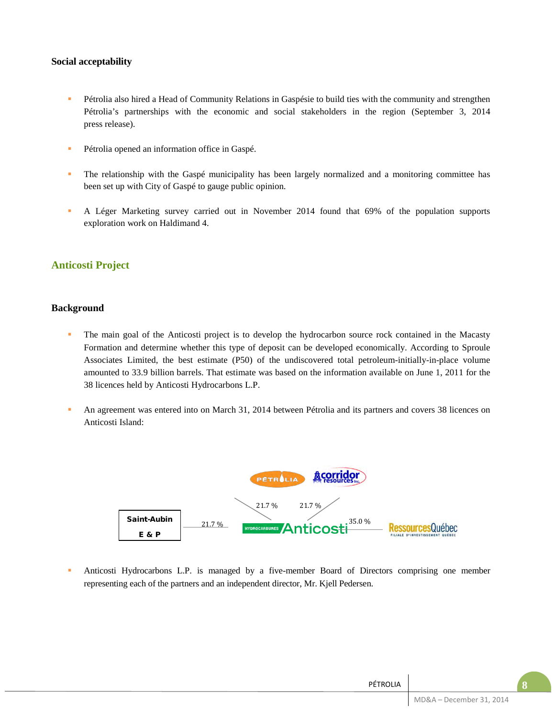## **Social acceptability**

- Pétrolia also hired a Head of Community Relations in Gaspésie to build ties with the community and strengthen Pétrolia's partnerships with the economic and social stakeholders in the region (September 3, 2014 press release).
- **Pétrolia opened an information office in Gaspé.**
- The relationship with the Gaspé municipality has been largely normalized and a monitoring committee has been set up with City of Gaspé to gauge public opinion.
- A Léger Marketing survey carried out in November 2014 found that 69% of the population supports exploration work on Haldimand 4.

## **Anticosti Project**

## **Background**

- The main goal of the Anticosti project is to develop the hydrocarbon source rock contained in the Macasty Formation and determine whether this type of deposit can be developed economically. According to Sproule Associates Limited, the best estimate (P50) of the undiscovered total petroleum-initially-in-place volume amounted to 33.9 billion barrels. That estimate was based on the information available on June 1, 2011 for the 38 licences held by Anticosti Hydrocarbons L.P.
- An agreement was entered into on March 31, 2014 between Pétrolia and its partners and covers 38 licences on Anticosti Island:



 Anticosti Hydrocarbons L.P. is managed by a five-member Board of Directors comprising one member representing each of the partners and an independent director, Mr. Kjell Pedersen.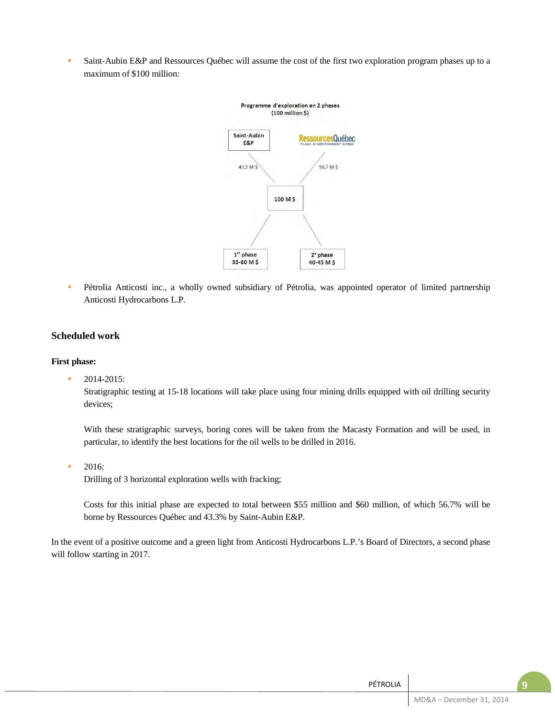Saint-Aubin E&P and Ressources Québec will assume the cost of the first two exploration program phases up to a maximum of \$100 million:



 Pétrolia Anticosti inc., a wholly owned subsidiary of Pétrolia, was appointed operator of limited partnership Anticosti Hydrocarbons L.P.

## **Scheduled work**

### **First phase:**

2014-2015:

Stratigraphic testing at 15-18 locations will take place using four mining drills equipped with oil drilling security devices;

With these stratigraphic surveys, boring cores will be taken from the Macasty Formation and will be used, in particular, to identify the best locations for the oil wells to be drilled in 2016.

2016:

Drilling of 3 horizontal exploration wells with fracking;

Costs for this initial phase are expected to total between \$55 million and \$60 million, of which 56.7% will be borne by Ressources Québec and 43.3% by Saint-Aubin E&P.

In the event of a positive outcome and a green light from Anticosti Hydrocarbons L.P.'s Board of Directors, a second phase will follow starting in 2017.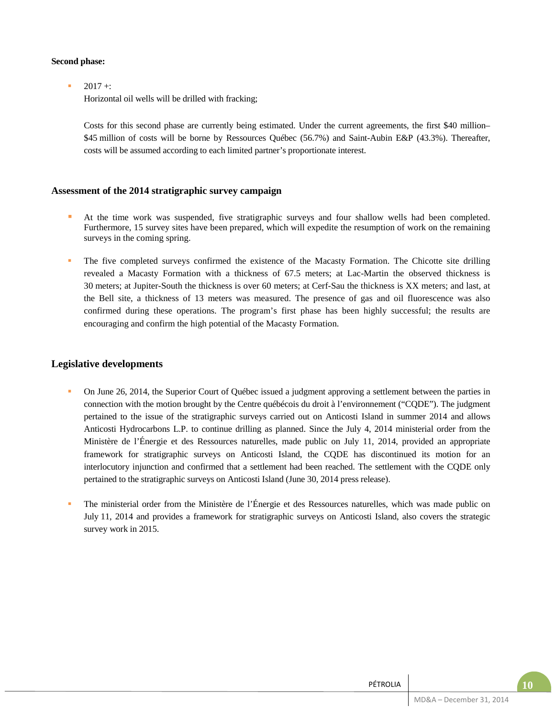## **Second phase:**

 $-2017 +$ 

Horizontal oil wells will be drilled with fracking;

Costs for this second phase are currently being estimated. Under the current agreements, the first \$40 million– \$45 million of costs will be borne by Ressources Québec (56.7%) and Saint-Aubin E&P (43.3%). Thereafter, costs will be assumed according to each limited partner's proportionate interest.

## **Assessment of the 2014 stratigraphic survey campaign**

- At the time work was suspended, five stratigraphic surveys and four shallow wells had been completed. Furthermore, 15 survey sites have been prepared, which will expedite the resumption of work on the remaining surveys in the coming spring.
- The five completed surveys confirmed the existence of the Macasty Formation. The Chicotte site drilling revealed a Macasty Formation with a thickness of 67.5 meters; at Lac-Martin the observed thickness is 30 meters; at Jupiter-South the thickness is over 60 meters; at Cerf-Sau the thickness is XX meters; and last, at the Bell site, a thickness of 13 meters was measured. The presence of gas and oil fluorescence was also confirmed during these operations. The program's first phase has been highly successful; the results are encouraging and confirm the high potential of the Macasty Formation.

## **Legislative developments**

- On June 26, 2014, the Superior Court of Québec issued a judgment approving a settlement between the parties in connection with the motion brought by the Centre québécois du droit à l'environnement ("CQDE"). The judgment pertained to the issue of the stratigraphic surveys carried out on Anticosti Island in summer 2014 and allows Anticosti Hydrocarbons L.P. to continue drilling as planned. Since the July 4, 2014 ministerial order from the Ministère de l'Énergie et des Ressources naturelles, made public on July 11, 2014, provided an appropriate framework for stratigraphic surveys on Anticosti Island, the CQDE has discontinued its motion for an interlocutory injunction and confirmed that a settlement had been reached. The settlement with the CQDE only pertained to the stratigraphic surveys on Anticosti Island (June 30, 2014 press release).
- The ministerial order from the Ministère de l'Énergie et des Ressources naturelles, which was made public on July 11, 2014 and provides a framework for stratigraphic surveys on Anticosti Island, also covers the strategic survey work in 2015.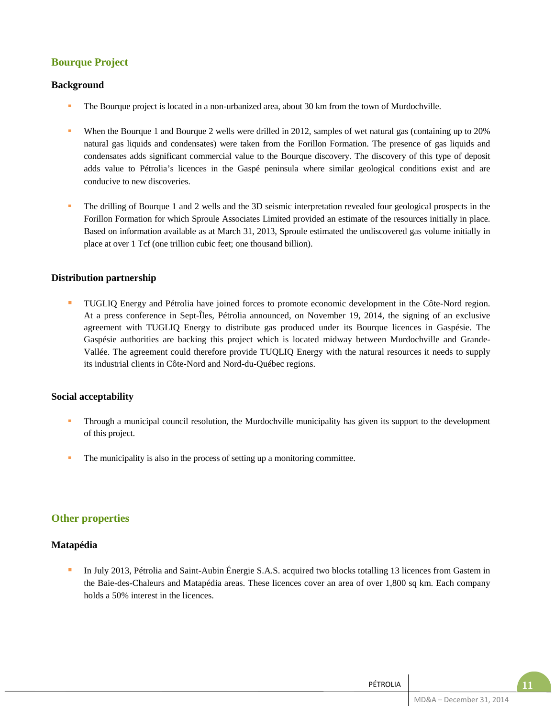# **Bourque Project**

## **Background**

- The Bourque project is located in a non-urbanized area, about 30 km from the town of Murdochville.
- When the Bourque 1 and Bourque 2 wells were drilled in 2012, samples of wet natural gas (containing up to 20% natural gas liquids and condensates) were taken from the Forillon Formation. The presence of gas liquids and condensates adds significant commercial value to the Bourque discovery. The discovery of this type of deposit adds value to Pétrolia's licences in the Gaspé peninsula where similar geological conditions exist and are conducive to new discoveries.
- The drilling of Bourque 1 and 2 wells and the 3D seismic interpretation revealed four geological prospects in the Forillon Formation for which Sproule Associates Limited provided an estimate of the resources initially in place. Based on information available as at March 31, 2013, Sproule estimated the undiscovered gas volume initially in place at over 1 Tcf (one trillion cubic feet; one thousand billion).

## **Distribution partnership**

 TUGLIQ Energy and Pétrolia have joined forces to promote economic development in the Côte-Nord region. At a press conference in Sept-Îles, Pétrolia announced, on November 19, 2014, the signing of an exclusive agreement with TUGLIQ Energy to distribute gas produced under its Bourque licences in Gaspésie. The Gaspésie authorities are backing this project which is located midway between Murdochville and Grande-Vallée. The agreement could therefore provide TUQLIQ Energy with the natural resources it needs to supply its industrial clients in Côte-Nord and Nord-du-Québec regions.

## **Social acceptability**

- Through a municipal council resolution, the Murdochville municipality has given its support to the development of this project.
- The municipality is also in the process of setting up a monitoring committee.

## **Other properties**

## **Matapédia**

In July 2013, Pétrolia and Saint-Aubin Énergie S.A.S. acquired two blocks totalling 13 licences from Gastem in the Baie-des-Chaleurs and Matapédia areas. These licences cover an area of over 1,800 sq km. Each company holds a 50% interest in the licences.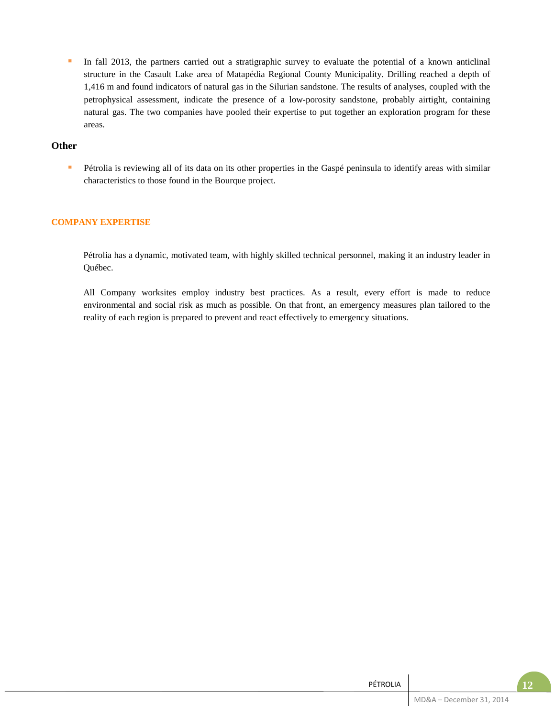In fall 2013, the partners carried out a stratigraphic survey to evaluate the potential of a known anticlinal structure in the Casault Lake area of Matapédia Regional County Municipality. Drilling reached a depth of 1,416 m and found indicators of natural gas in the Silurian sandstone. The results of analyses, coupled with the petrophysical assessment, indicate the presence of a low-porosity sandstone, probably airtight, containing natural gas. The two companies have pooled their expertise to put together an exploration program for these areas.

## **Other**

Pétrolia is reviewing all of its data on its other properties in the Gaspé peninsula to identify areas with similar characteristics to those found in the Bourque project.

## **COMPANY EXPERTISE**

Pétrolia has a dynamic, motivated team, with highly skilled technical personnel, making it an industry leader in Québec.

All Company worksites employ industry best practices. As a result, every effort is made to reduce environmental and social risk as much as possible. On that front, an emergency measures plan tailored to the reality of each region is prepared to prevent and react effectively to emergency situations.

| . L Z                    | PÉTROLIA |
|--------------------------|----------|
| MD&A - December 31, 2014 |          |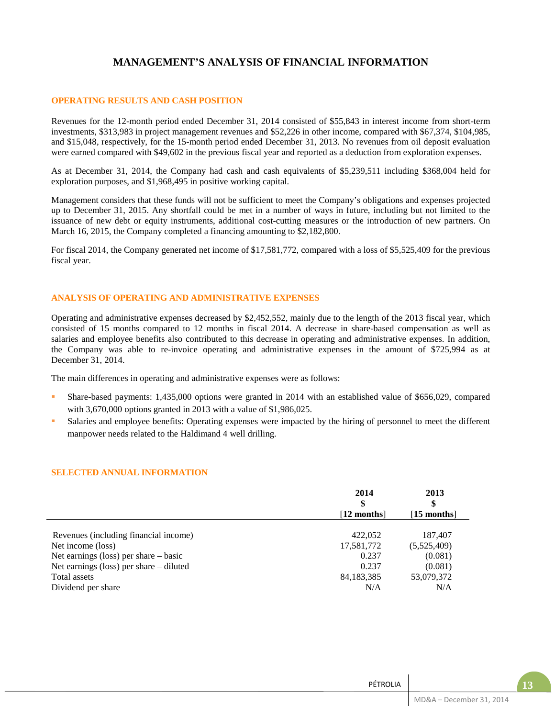# **MANAGEMENT'S ANALYSIS OF FINANCIAL INFORMATION**

#### **OPERATING RESULTS AND CASH POSITION**

Revenues for the 12-month period ended December 31, 2014 consisted of \$55,843 in interest income from short-term investments, \$313,983 in project management revenues and \$52,226 in other income, compared with \$67,374, \$104,985, and \$15,048, respectively, for the 15-month period ended December 31, 2013. No revenues from oil deposit evaluation were earned compared with \$49,602 in the previous fiscal year and reported as a deduction from exploration expenses.

As at December 31, 2014, the Company had cash and cash equivalents of \$5,239,511 including \$368,004 held for exploration purposes, and \$1,968,495 in positive working capital.

Management considers that these funds will not be sufficient to meet the Company's obligations and expenses projected up to December 31, 2015. Any shortfall could be met in a number of ways in future, including but not limited to the issuance of new debt or equity instruments, additional cost-cutting measures or the introduction of new partners. On March 16, 2015, the Company completed a financing amounting to \$2,182,800.

For fiscal 2014, the Company generated net income of \$17,581,772, compared with a loss of \$5,525,409 for the previous fiscal year.

### **ANALYSIS OF OPERATING AND ADMINISTRATIVE EXPENSES**

Operating and administrative expenses decreased by \$2,452,552, mainly due to the length of the 2013 fiscal year, which consisted of 15 months compared to 12 months in fiscal 2014. A decrease in share-based compensation as well as salaries and employee benefits also contributed to this decrease in operating and administrative expenses. In addition, the Company was able to re-invoice operating and administrative expenses in the amount of \$725,994 as at December 31, 2014.

The main differences in operating and administrative expenses were as follows:

- Share-based payments: 1,435,000 options were granted in 2014 with an established value of \$656,029, compared with 3,670,000 options granted in 2013 with a value of \$1,986,025.
- Salaries and employee benefits: Operating expenses were impacted by the hiring of personnel to meet the different manpower needs related to the Haldimand 4 well drilling.

#### **SELECTED ANNUAL INFORMATION**

|                                         | 2014<br>\$   | 2013<br>\$   |
|-----------------------------------------|--------------|--------------|
|                                         | $[12$ months | $[15$ months |
| Revenues (including financial income)   | 422,052      | 187,407      |
| Net income (loss)                       | 17,581,772   | (5,525,409)  |
| Net earnings (loss) per share $-$ basic | 0.237        | (0.081)      |
| Net earnings (loss) per share – diluted | 0.237        | (0.081)      |
| Total assets                            | 84,183,385   | 53,079,372   |
| Dividend per share                      | N/A          | N/A          |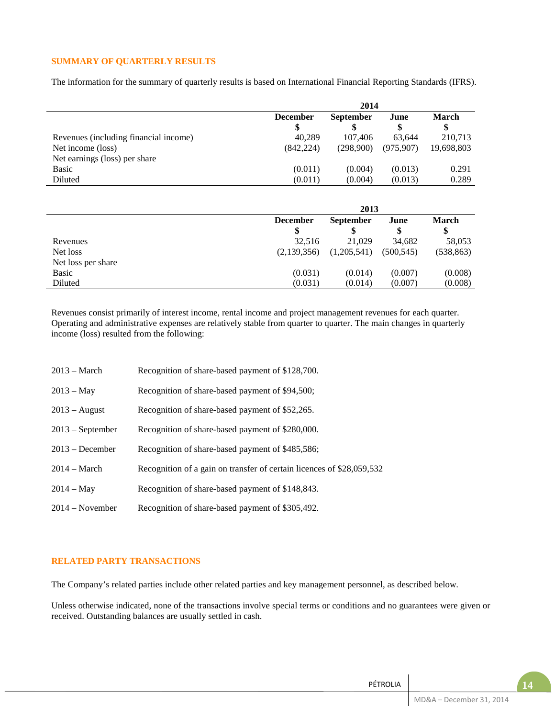## **SUMMARY OF QUARTERLY RESULTS**

The information for the summary of quarterly results is based on International Financial Reporting Standards (IFRS).

|                                       | 2014            |                  |           |            |  |  |
|---------------------------------------|-----------------|------------------|-----------|------------|--|--|
|                                       | <b>December</b> | <b>September</b> | June      | March      |  |  |
|                                       |                 |                  |           | \$         |  |  |
| Revenues (including financial income) | 40.289          | 107.406          | 63.644    | 210,713    |  |  |
| Net income (loss)                     | (842, 224)      | (298.900)        | (975.907) | 19,698,803 |  |  |
| Net earnings (loss) per share         |                 |                  |           |            |  |  |
| <b>Basic</b>                          | (0.011)         | (0.004)          | (0.013)   | 0.291      |  |  |
| Diluted                               | (0.011)         | (0.004)          | (0.013)   | 0.289      |  |  |

|                    | 2013            |                          |            |            |  |  |  |
|--------------------|-----------------|--------------------------|------------|------------|--|--|--|
|                    | <b>December</b> | <b>September</b><br>June |            |            |  |  |  |
|                    | \$              |                          |            | \$         |  |  |  |
| Revenues           | 32.516          | 21,029                   | 34.682     | 58,053     |  |  |  |
| Net loss           | (2,139,356)     | (1,205,541)              | (500, 545) | (538, 863) |  |  |  |
| Net loss per share |                 |                          |            |            |  |  |  |
| Basic              | (0.031)         | (0.014)                  | (0.007)    | (0.008)    |  |  |  |
| Diluted            | (0.031)         | (0.014)                  | (0.007)    | (0.008)    |  |  |  |

Revenues consist primarily of interest income, rental income and project management revenues for each quarter. Operating and administrative expenses are relatively stable from quarter to quarter. The main changes in quarterly income (loss) resulted from the following:

| $2013 - March$     | Recognition of share-based payment of \$128,700.                      |
|--------------------|-----------------------------------------------------------------------|
| $2013 - May$       | Recognition of share-based payment of \$94,500;                       |
| $2013 - August$    | Recognition of share-based payment of \$52,265.                       |
| $2013$ – September | Recognition of share-based payment of \$280,000.                      |
| $2013 - December$  | Recognition of share-based payment of \$485,586;                      |
| $2014 - March$     | Recognition of a gain on transfer of certain licences of \$28,059,532 |
| $2014 - May$       | Recognition of share-based payment of \$148,843.                      |
| $2014 - November$  | Recognition of share-based payment of \$305,492.                      |

### **RELATED PARTY TRANSACTIONS**

The Company's related parties include other related parties and key management personnel, as described below.

Unless otherwise indicated, none of the transactions involve special terms or conditions and no guarantees were given or received. Outstanding balances are usually settled in cash.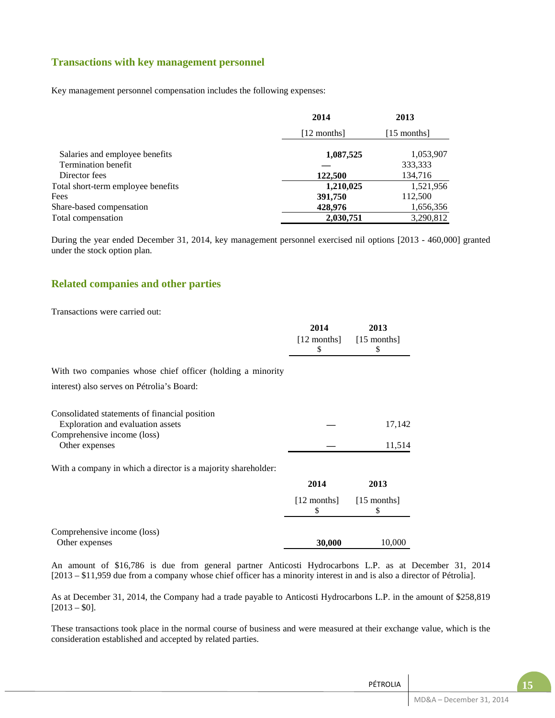## **Transactions with key management personnel**

Key management personnel compensation includes the following expenses:

|                                    | 2014        | 2013        |
|------------------------------------|-------------|-------------|
|                                    | [12 months] | [15 months] |
| Salaries and employee benefits     | 1,087,525   | 1,053,907   |
| Termination benefit                |             | 333,333     |
| Director fees                      | 122,500     | 134,716     |
| Total short-term employee benefits | 1,210,025   | 1,521,956   |
| Fees                               | 391,750     | 112,500     |
| Share-based compensation           | 428,976     | 1,656,356   |
| Total compensation                 | 2,030,751   | 3,290,812   |

During the year ended December 31, 2014, key management personnel exercised nil options [2013 - 460,000] granted under the stock option plan.

## **Related companies and other parties**

Transactions were carried out:

|                                                               | 2014                | 2013                |
|---------------------------------------------------------------|---------------------|---------------------|
|                                                               | $[12$ months]<br>\$ | $[15$ months]<br>\$ |
| With two companies whose chief officer (holding a minority    |                     |                     |
| interest) also serves on Pétrolia's Board:                    |                     |                     |
| Consolidated statements of financial position                 |                     |                     |
| Exploration and evaluation assets                             |                     | 17,142              |
| Comprehensive income (loss)                                   |                     |                     |
| Other expenses                                                |                     | 11,514              |
| With a company in which a director is a majority shareholder: |                     |                     |
|                                                               | 2014                | 2013                |
|                                                               | $[12$ months]<br>\$ | $[15$ months]<br>\$ |
| Comprehensive income (loss)                                   |                     |                     |
| Other expenses                                                | 30,000              | 10,000              |
|                                                               |                     |                     |

An amount of \$16,786 is due from general partner Anticosti Hydrocarbons L.P. as at December 31, 2014 [2013 – \$11,959 due from a company whose chief officer has a minority interest in and is also a director of Pétrolia].

As at December 31, 2014, the Company had a trade payable to Anticosti Hydrocarbons L.P. in the amount of \$258,819  $[2013 - $0].$ 

These transactions took place in the normal course of business and were measured at their exchange value, which is the consideration established and accepted by related parties.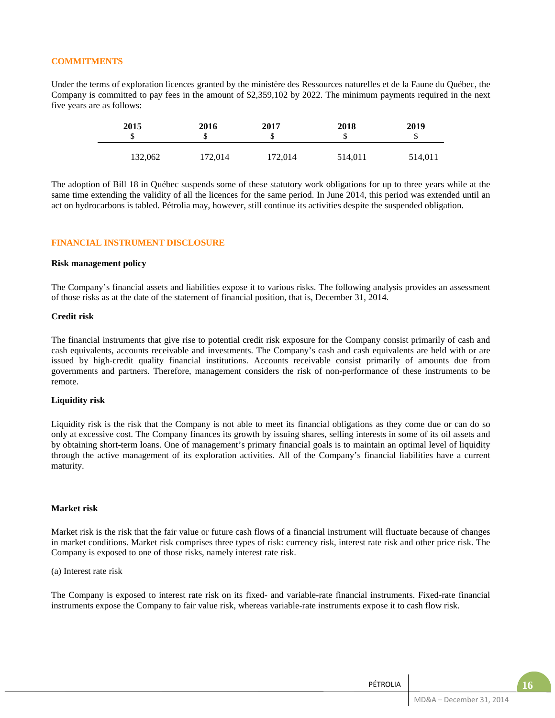#### **COMMITMENTS**

Under the terms of exploration licences granted by the ministère des Ressources naturelles et de la Faune du Québec, the Company is committed to pay fees in the amount of \$2,359,102 by 2022. The minimum payments required in the next five years are as follows:

| 2015<br>J | 2016    | 2017    | 2018<br>₼<br>۰D. | 2019<br>¢<br>D |
|-----------|---------|---------|------------------|----------------|
| 132,062   | 172,014 | 172,014 | 514,011          | 514,011        |

The adoption of Bill 18 in Québec suspends some of these statutory work obligations for up to three years while at the same time extending the validity of all the licences for the same period. In June 2014, this period was extended until an act on hydrocarbons is tabled. Pétrolia may, however, still continue its activities despite the suspended obligation.

#### **FINANCIAL INSTRUMENT DISCLOSURE**

#### **Risk management policy**

The Company's financial assets and liabilities expose it to various risks. The following analysis provides an assessment of those risks as at the date of the statement of financial position, that is, December 31, 2014.

#### **Credit risk**

The financial instruments that give rise to potential credit risk exposure for the Company consist primarily of cash and cash equivalents, accounts receivable and investments. The Company's cash and cash equivalents are held with or are issued by high-credit quality financial institutions. Accounts receivable consist primarily of amounts due from governments and partners. Therefore, management considers the risk of non-performance of these instruments to be remote.

#### **Liquidity risk**

Liquidity risk is the risk that the Company is not able to meet its financial obligations as they come due or can do so only at excessive cost. The Company finances its growth by issuing shares, selling interests in some of its oil assets and by obtaining short-term loans. One of management's primary financial goals is to maintain an optimal level of liquidity through the active management of its exploration activities. All of the Company's financial liabilities have a current maturity.

### **Market risk**

Market risk is the risk that the fair value or future cash flows of a financial instrument will fluctuate because of changes in market conditions. Market risk comprises three types of risk: currency risk, interest rate risk and other price risk. The Company is exposed to one of those risks, namely interest rate risk.

(a) Interest rate risk

The Company is exposed to interest rate risk on its fixed- and variable-rate financial instruments. Fixed-rate financial instruments expose the Company to fair value risk, whereas variable-rate instruments expose it to cash flow risk.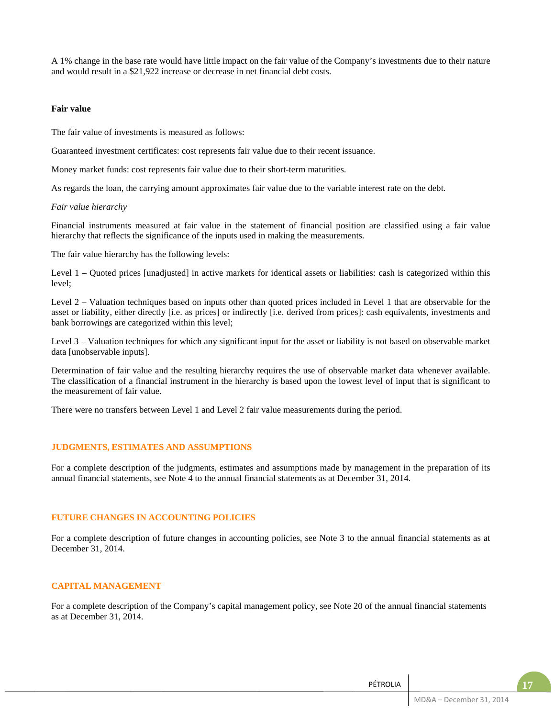A 1% change in the base rate would have little impact on the fair value of the Company's investments due to their nature and would result in a \$21,922 increase or decrease in net financial debt costs.

#### **Fair value**

The fair value of investments is measured as follows:

Guaranteed investment certificates: cost represents fair value due to their recent issuance.

Money market funds: cost represents fair value due to their short-term maturities.

As regards the loan, the carrying amount approximates fair value due to the variable interest rate on the debt.

#### *Fair value hierarchy*

Financial instruments measured at fair value in the statement of financial position are classified using a fair value hierarchy that reflects the significance of the inputs used in making the measurements.

The fair value hierarchy has the following levels:

Level 1 – Quoted prices [unadjusted] in active markets for identical assets or liabilities: cash is categorized within this level;

Level 2 – Valuation techniques based on inputs other than quoted prices included in Level 1 that are observable for the asset or liability, either directly [i.e. as prices] or indirectly [i.e. derived from prices]: cash equivalents, investments and bank borrowings are categorized within this level;

Level 3 – Valuation techniques for which any significant input for the asset or liability is not based on observable market data [unobservable inputs].

Determination of fair value and the resulting hierarchy requires the use of observable market data whenever available. The classification of a financial instrument in the hierarchy is based upon the lowest level of input that is significant to the measurement of fair value.

There were no transfers between Level 1 and Level 2 fair value measurements during the period.

#### **JUDGMENTS, ESTIMATES AND ASSUMPTIONS**

For a complete description of the judgments, estimates and assumptions made by management in the preparation of its annual financial statements, see Note 4 to the annual financial statements as at December 31, 2014.

#### **FUTURE CHANGES IN ACCOUNTING POLICIES**

For a complete description of future changes in accounting policies, see Note 3 to the annual financial statements as at December 31, 2014.

#### **CAPITAL MANAGEMENT**

For a complete description of the Company's capital management policy, see Note 20 of the annual financial statements as at December 31, 2014.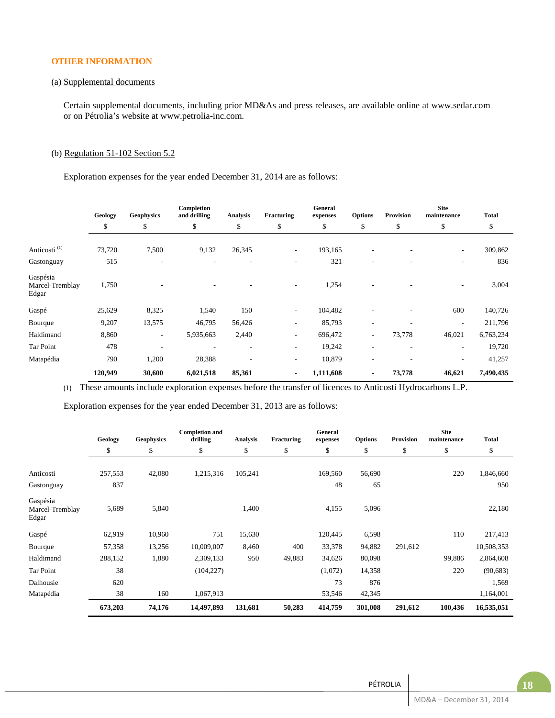## **OTHER INFORMATION**

### (a) Supplemental documents

Certain supplemental documents, including prior MD&As and press releases, are available online at www.sedar.com or on Pétrolia's website at www.petrolia-inc.com.

### (b) Regulation 51-102 Section 5.2

Exploration expenses for the year ended December 31, 2014 are as follows:

|                                      | Geology | <b>Geophysics</b> | Completion<br>and drilling | Analysis | Fracturing               | General<br>expenses | <b>Options</b>           | Provision                | <b>Site</b><br>maintenance | <b>Total</b> |
|--------------------------------------|---------|-------------------|----------------------------|----------|--------------------------|---------------------|--------------------------|--------------------------|----------------------------|--------------|
|                                      | \$      | \$                | \$                         | \$       | \$                       | \$                  | \$                       | \$                       | \$                         | \$           |
| Anticosti <sup>(1)</sup>             | 73,720  | 7,500             | 9,132                      | 26,345   | $\overline{\phantom{a}}$ | 193,165             | $\overline{\phantom{a}}$ | $\overline{\phantom{a}}$ | $\overline{\phantom{a}}$   | 309,862      |
| Gastonguay                           | 515     | ٠                 | $\overline{\phantom{a}}$   |          | ٠                        | 321                 | ۰                        |                          | ۰                          | 836          |
| Gaspésia<br>Marcel-Tremblay<br>Edgar | 1,750   |                   |                            |          | ۰                        | 1,254               |                          |                          | -                          | 3,004        |
| Gaspé                                | 25,629  | 8,325             | 1,540                      | 150      | ٠                        | 104,482             |                          |                          | 600                        | 140,726      |
| Bourque                              | 9,207   | 13,575            | 46,795                     | 56,426   | ۰                        | 85,793              | ۰                        |                          | ٠                          | 211,796      |
| Haldimand                            | 8,860   | ۰.                | 5,935,663                  | 2,440    | ۰                        | 696,472             | $\overline{\phantom{a}}$ | 73,778                   | 46,021                     | 6,763,234    |
| Tar Point                            | 478     | ٠                 |                            | ٠        | ٠                        | 19,242              | ۰                        | $\overline{\phantom{a}}$ | ۰                          | 19,720       |
| Matapédia                            | 790     | 1,200             | 28,388                     | ٠        | ۰                        | 10,879              | ٠                        |                          | ۰                          | 41,257       |
|                                      | 120,949 | 30,600            | 6,021,518                  | 85,361   | $\blacksquare$           | 1,111,608           | $\blacksquare$           | 73,778                   | 46,621                     | 7,490,435    |

(1) These amounts include exploration expenses before the transfer of licences to Anticosti Hydrocarbons L.P.

Exploration expenses for the year ended December 31, 2013 are as follows:

|                                      | Geology | <b>Geophysics</b> | <b>Completion and</b><br>drilling | Analysis | Fracturing | General<br>expenses | <b>Options</b> | Provision | <b>Site</b><br>maintenance | <b>Total</b> |
|--------------------------------------|---------|-------------------|-----------------------------------|----------|------------|---------------------|----------------|-----------|----------------------------|--------------|
|                                      | \$      | \$                | \$                                | \$       | \$         | \$                  | \$             | \$        | \$                         | \$           |
|                                      |         |                   |                                   |          |            |                     |                |           |                            |              |
| Anticosti                            | 257,553 | 42,080            | 1,215,316                         | 105,241  |            | 169,560             | 56,690         |           | 220                        | 1,846,660    |
| Gastonguay                           | 837     |                   |                                   |          |            | 48                  | 65             |           |                            | 950          |
| Gaspésia<br>Marcel-Tremblay<br>Edgar | 5,689   | 5,840             |                                   | 1,400    |            | 4,155               | 5,096          |           |                            | 22,180       |
| Gaspé                                | 62,919  | 10,960            | 751                               | 15,630   |            | 120,445             | 6,598          |           | 110                        | 217,413      |
| Bourque                              | 57,358  | 13,256            | 10,009,007                        | 8,460    | 400        | 33,378              | 94,882         | 291,612   |                            | 10,508,353   |
| Haldimand                            | 288,152 | 1,880             | 2,309,133                         | 950      | 49,883     | 34,626              | 80,098         |           | 99,886                     | 2,864,608    |
| Tar Point                            | 38      |                   | (104, 227)                        |          |            | (1,072)             | 14,358         |           | 220                        | (90, 683)    |
| Dalhousie                            | 620     |                   |                                   |          |            | 73                  | 876            |           |                            | 1,569        |
| Matapédia                            | 38      | 160               | 1,067,913                         |          |            | 53,546              | 42,345         |           |                            | 1,164,001    |
|                                      | 673,203 | 74,176            | 14,497,893                        | 131,681  | 50,283     | 414,759             | 301,008        | 291,612   | 100,436                    | 16,535,051   |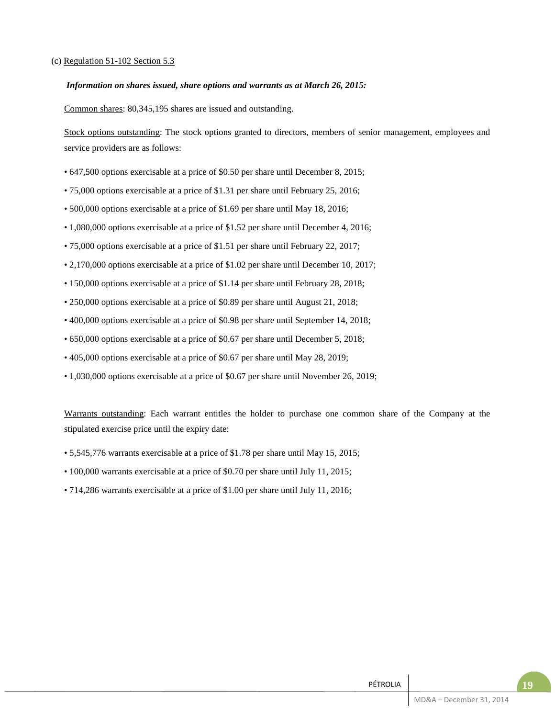### (c) Regulation 51-102 Section 5.3

#### *Information on shares issued, share options and warrants as at March 26, 2015:*

Common shares: 80,345,195 shares are issued and outstanding.

Stock options outstanding: The stock options granted to directors, members of senior management, employees and service providers are as follows:

- 647,500 options exercisable at a price of \$0.50 per share until December 8, 2015;
- 75,000 options exercisable at a price of \$1.31 per share until February 25, 2016;
- 500,000 options exercisable at a price of \$1.69 per share until May 18, 2016;
- 1,080,000 options exercisable at a price of \$1.52 per share until December 4, 2016;
- 75,000 options exercisable at a price of \$1.51 per share until February 22, 2017;
- 2,170,000 options exercisable at a price of \$1.02 per share until December 10, 2017;
- 150,000 options exercisable at a price of \$1.14 per share until February 28, 2018;
- 250,000 options exercisable at a price of \$0.89 per share until August 21, 2018;
- 400,000 options exercisable at a price of \$0.98 per share until September 14, 2018;
- 650,000 options exercisable at a price of \$0.67 per share until December 5, 2018;
- 405,000 options exercisable at a price of \$0.67 per share until May 28, 2019;
- 1,030,000 options exercisable at a price of \$0.67 per share until November 26, 2019;

Warrants outstanding: Each warrant entitles the holder to purchase one common share of the Company at the stipulated exercise price until the expiry date:

- 5,545,776 warrants exercisable at a price of \$1.78 per share until May 15, 2015;
- 100,000 warrants exercisable at a price of \$0.70 per share until July 11, 2015;
- 714,286 warrants exercisable at a price of \$1.00 per share until July 11, 2016;